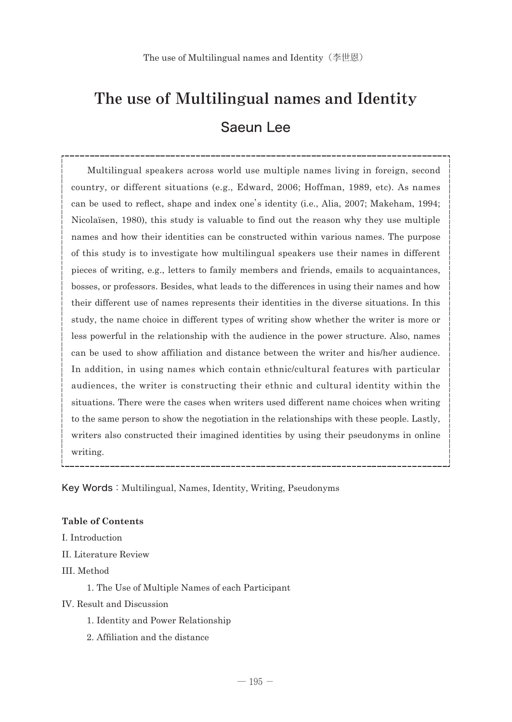# The use of Multilingual names and Identity Saeun Lee

 Multilingual speakers across world use multiple names living in foreign, second country, or different situations (e.g., Edward, 2006; Hoffman, 1989, etc). As names can be used to reflect, shape and index one's identity (i.e., Alia, 2007; Makeham, 1994; Nicolaïsen, 1980), this study is valuable to find out the reason why they use multiple names and how their identities can be constructed within various names. The purpose of this study is to investigate how multilingual speakers use their names in different pieces of writing, e.g., letters to family members and friends, emails to acquaintances, bosses, or professors. Besides, what leads to the differences in using their names and how their different use of names represents their identities in the diverse situations. In this study, the name choice in different types of writing show whether the writer is more or less powerful in the relationship with the audience in the power structure. Also, names can be used to show affiliation and distance between the writer and his/her audience. In addition, in using names which contain ethnic/cultural features with particular audiences, the writer is constructing their ethnic and cultural identity within the situations. There were the cases when writers used different name choices when writing to the same person to show the negotiation in the relationships with these people. Lastly, writers also constructed their imagined identities by using their pseudonyms in online writing.

Key Words: Multilingual, Names, Identity, Writing, Pseudonyms

## **Table of Contents**

I. Introduction

- II. Literature Review
- III. Method

1. The Use of Multiple Names of each Participant

## IV. Result and Discussion

- 1. Identity and Power Relationship
- 2. Affiliation and the distance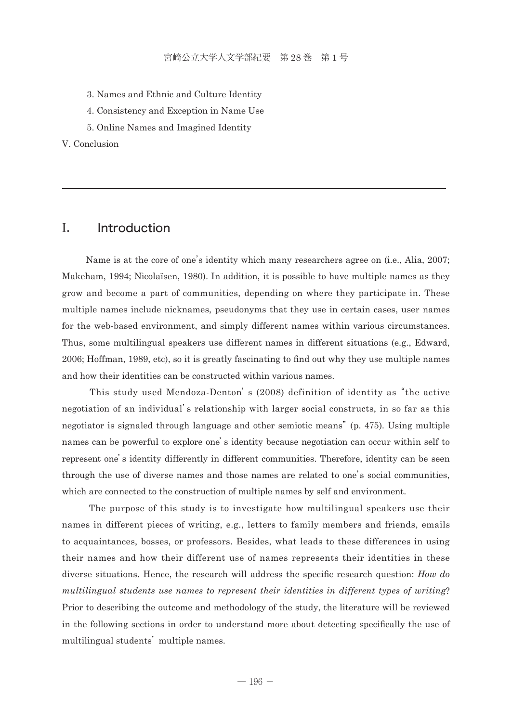- 3. Names and Ethnic and Culture Identity
- 4. Consistency and Exception in Name Use
- 5. Online Names and Imagined Identity

V. Conclusion

# I. Introduction

 Name is at the core of one's identity which many researchers agree on (i.e., Alia, 2007; Makeham, 1994; Nicolaïsen, 1980). In addition, it is possible to have multiple names as they grow and become a part of communities, depending on where they participate in. These multiple names include nicknames, pseudonyms that they use in certain cases, user names for the web-based environment, and simply different names within various circumstances. Thus, some multilingual speakers use different names in different situations (e.g., Edward, 2006; Hoffman, 1989, etc), so it is greatly fascinating to find out why they use multiple names and how their identities can be constructed within various names.

 This study used Mendoza-Denton's (2008) definition of identity as "the active negotiation of an individual's relationship with larger social constructs, in so far as this negotiator is signaled through language and other semiotic means" (p. 475). Using multiple names can be powerful to explore one's identity because negotiation can occur within self to represent one's identity differently in different communities. Therefore, identity can be seen through the use of diverse names and those names are related to one's social communities, which are connected to the construction of multiple names by self and environment.

 The purpose of this study is to investigate how multilingual speakers use their names in different pieces of writing, e.g., letters to family members and friends, emails to acquaintances, bosses, or professors. Besides, what leads to these differences in using their names and how their different use of names represents their identities in these diverse situations. Hence, the research will address the specific research question: *How do multilingual students use names to represent their identities in different types of writing*? Prior to describing the outcome and methodology of the study, the literature will be reviewed in the following sections in order to understand more about detecting specifically the use of multilingual students' multiple names.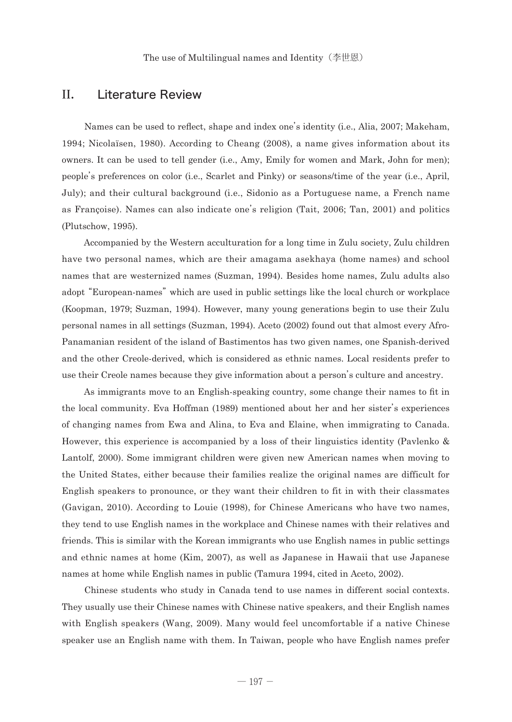## II. Literature Review

 Names can be used to reflect, shape and index one's identity (i.e., Alia, 2007; Makeham, 1994; Nicolaïsen, 1980). According to Cheang (2008), a name gives information about its owners. It can be used to tell gender (i.e., Amy, Emily for women and Mark, John for men); people's preferences on color (i.e., Scarlet and Pinky) or seasons/time of the year (i.e., April, July); and their cultural background (i.e., Sidonio as a Portuguese name, a French name as Françoise). Names can also indicate one's religion (Tait, 2006; Tan, 2001) and politics (Plutschow, 1995).

 Accompanied by the Western acculturation for a long time in Zulu society, Zulu children have two personal names, which are their amagama asekhaya (home names) and school names that are westernized names (Suzman, 1994). Besides home names, Zulu adults also adopt "European-names" which are used in public settings like the local church or workplace (Koopman, 1979; Suzman, 1994). However, many young generations begin to use their Zulu personal names in all settings (Suzman, 1994). Aceto (2002) found out that almost every Afro-Panamanian resident of the island of Bastimentos has two given names, one Spanish-derived and the other Creole-derived, which is considered as ethnic names. Local residents prefer to use their Creole names because they give information about a person's culture and ancestry.

 As immigrants move to an English-speaking country, some change their names to fit in the local community. Eva Hoffman (1989) mentioned about her and her sister's experiences of changing names from Ewa and Alina, to Eva and Elaine, when immigrating to Canada. However, this experience is accompanied by a loss of their linguistics identity (Pavlenko & Lantolf, 2000). Some immigrant children were given new American names when moving to the United States, either because their families realize the original names are difficult for English speakers to pronounce, or they want their children to fit in with their classmates (Gavigan, 2010). According to Louie (1998), for Chinese Americans who have two names, they tend to use English names in the workplace and Chinese names with their relatives and friends. This is similar with the Korean immigrants who use English names in public settings and ethnic names at home (Kim, 2007), as well as Japanese in Hawaii that use Japanese names at home while English names in public (Tamura 1994, cited in Aceto, 2002).

 Chinese students who study in Canada tend to use names in different social contexts. They usually use their Chinese names with Chinese native speakers, and their English names with English speakers (Wang, 2009). Many would feel uncomfortable if a native Chinese speaker use an English name with them. In Taiwan, people who have English names prefer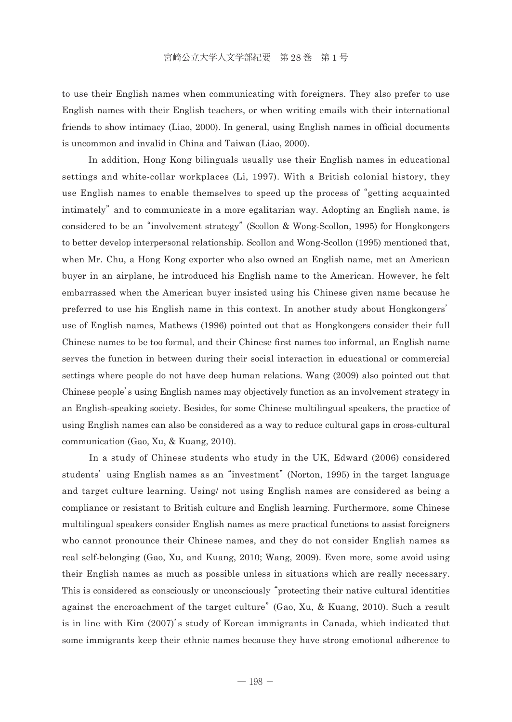to use their English names when communicating with foreigners. They also prefer to use English names with their English teachers, or when writing emails with their international friends to show intimacy (Liao, 2000). In general, using English names in official documents is uncommon and invalid in China and Taiwan (Liao, 2000).

 In addition, Hong Kong bilinguals usually use their English names in educational settings and white-collar workplaces (Li, 1997). With a British colonial history, they use English names to enable themselves to speed up the process of "getting acquainted intimately" and to communicate in a more egalitarian way. Adopting an English name, is considered to be an "involvement strategy" (Scollon & Wong-Scollon, 1995) for Hongkongers to better develop interpersonal relationship. Scollon and Wong-Scollon (1995) mentioned that, when Mr. Chu, a Hong Kong exporter who also owned an English name, met an American buyer in an airplane, he introduced his English name to the American. However, he felt embarrassed when the American buyer insisted using his Chinese given name because he preferred to use his English name in this context. In another study about Hongkongers' use of English names, Mathews (1996) pointed out that as Hongkongers consider their full Chinese names to be too formal, and their Chinese first names too informal, an English name serves the function in between during their social interaction in educational or commercial settings where people do not have deep human relations. Wang (2009) also pointed out that Chinese people's using English names may objectively function as an involvement strategy in an English-speaking society. Besides, for some Chinese multilingual speakers, the practice of using English names can also be considered as a way to reduce cultural gaps in cross-cultural communication (Gao, Xu, & Kuang, 2010).

 In a study of Chinese students who study in the UK, Edward (2006) considered students' using English names as an "investment" (Norton, 1995) in the target language and target culture learning. Using/ not using English names are considered as being a compliance or resistant to British culture and English learning. Furthermore, some Chinese multilingual speakers consider English names as mere practical functions to assist foreigners who cannot pronounce their Chinese names, and they do not consider English names as real self-belonging (Gao, Xu, and Kuang, 2010; Wang, 2009). Even more, some avoid using their English names as much as possible unless in situations which are really necessary. This is considered as consciously or unconsciously "protecting their native cultural identities against the encroachment of the target culture" (Gao, Xu, & Kuang, 2010). Such a result is in line with Kim (2007)'s study of Korean immigrants in Canada, which indicated that some immigrants keep their ethnic names because they have strong emotional adherence to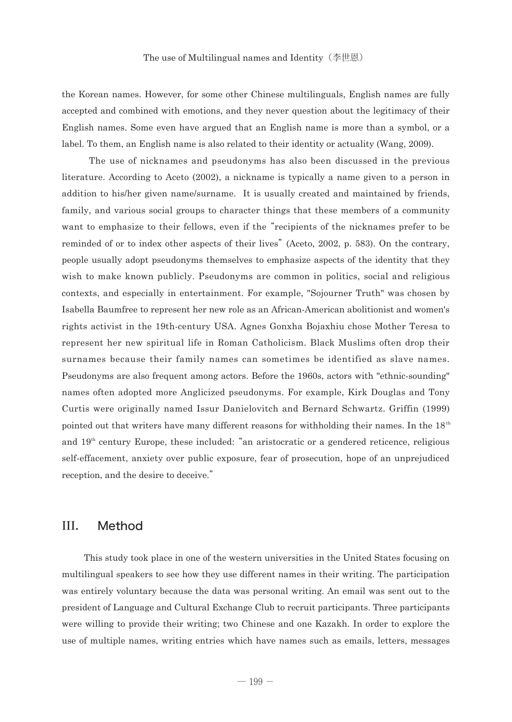the Korean names. However, for some other Chinese multilinguals, English names are fully accepted and combined with emotions, and they never question about the legitimacy of their English names. Some even have argued that an English name is more than a symbol, or a label. To them, an English name is also related to their identity or actuality (Wang, 2009).

 The use of nicknames and pseudonyms has also been discussed in the previous literature. According to Aceto (2002), a nickname is typically a name given to a person in addition to his/her given name/surname. It is usually created and maintained by friends, family, and various social groups to character things that these members of a community want to emphasize to their fellows, even if the "recipients of the nicknames prefer to be reminded of or to index other aspects of their lives" (Aceto, 2002, p. 583). On the contrary, people usually adopt pseudonyms themselves to emphasize aspects of the identity that they wish to make known publicly. Pseudonyms are common in politics, social and religious contexts, and especially in entertainment. For example, "Sojourner Truth" was chosen by Isabella Baumfree to represent her new role as an African-American abolitionist and women's rights activist in the 19th-century USA. Agnes Gonxha Bojaxhiu chose Mother Teresa to represent her new spiritual life in Roman Catholicism. Black Muslims often drop their surnames because their family names can sometimes be identified as slave names. Pseudonyms are also frequent among actors. Before the 1960s, actors with "ethnic-sounding" names often adopted more Anglicized pseudonyms. For example, Kirk Douglas and Tony Curtis were originally named Issur Danielovitch and Bernard Schwartz. Griffin (1999) pointed out that writers have many different reasons for withholding their names. In the  $18<sup>th</sup>$ and 19th century Europe, these included: "an aristocratic or a gendered reticence, religious self-effacement, anxiety over public exposure, fear of prosecution, hope of an unprejudiced reception, and the desire to deceive."

# III. Method

 This study took place in one of the western universities in the United States focusing on multilingual speakers to see how they use different names in their writing. The participation was entirely voluntary because the data was personal writing. An email was sent out to the president of Language and Cultural Exchange Club to recruit participants. Three participants were willing to provide their writing; two Chinese and one Kazakh. In order to explore the use of multiple names, writing entries which have names such as emails, letters, messages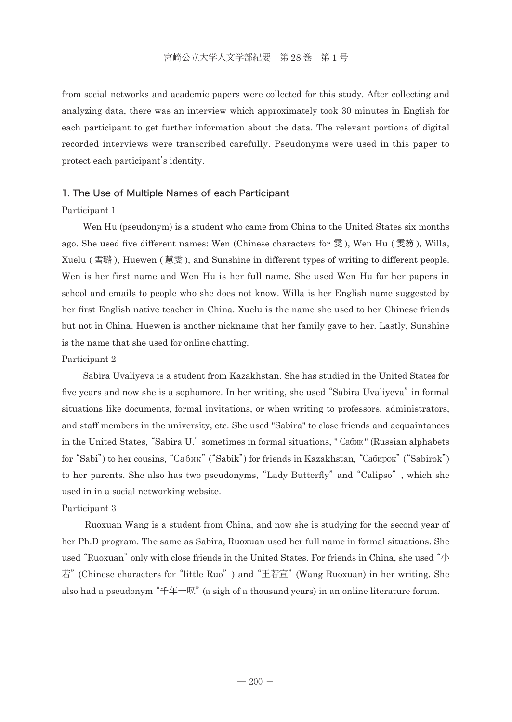from social networks and academic papers were collected for this study. After collecting and analyzing data, there was an interview which approximately took 30 minutes in English for each participant to get further information about the data. The relevant portions of digital recorded interviews were transcribed carefully. Pseudonyms were used in this paper to protect each participant's identity.

## 1. The Use of Multiple Names of each Participant

## Participant 1

 Wen Hu (pseudonym) is a student who came from China to the United States six months ago. She used five different names: Wen (Chinese characters for  $\mathcal{F}$ ), Wen Hu ( $\mathcal{F}$ ), Willa, Xuelu ( 雪璐 ), Huewen ( 慧雯 ), and Sunshine in different types of writing to different people. Wen is her first name and Wen Hu is her full name. She used Wen Hu for her papers in school and emails to people who she does not know. Willa is her English name suggested by her first English native teacher in China. Xuelu is the name she used to her Chinese friends but not in China. Huewen is another nickname that her family gave to her. Lastly, Sunshine is the name that she used for online chatting.

#### Participant 2

 Sabira Uvaliyeva is a student from Kazakhstan. She has studied in the United States for five years and now she is a sophomore. In her writing, she used "Sabira Uvaliyeva" in formal situations like documents, formal invitations, or when writing to professors, administrators, and staff members in the university, etc. She used "Sabira" to close friends and acquaintances in the United States, "Sabira U." sometimes in formal situations, "Сабик" (Russian alphabets for "Sabi") to her cousins, "Сабик" ("Sabik") for friends in Kazakhstan, "Сабирок" ("Sabirok") to her parents. She also has two pseudonyms, "Lady Butterfly" and "Calipso", which she used in in a social networking website.

#### Participant 3

 Ruoxuan Wang is a student from China, and now she is studying for the second year of her Ph.D program. The same as Sabira, Ruoxuan used her full name in formal situations. She used "Ruoxuan" only with close friends in the United States. For friends in China, she used "小 若" (Chinese characters for "little Ruo") and "王若宣" (Wang Ruoxuan) in her writing. She also had a pseudonym "千年一叹" (a sigh of a thousand years) in an online literature forum.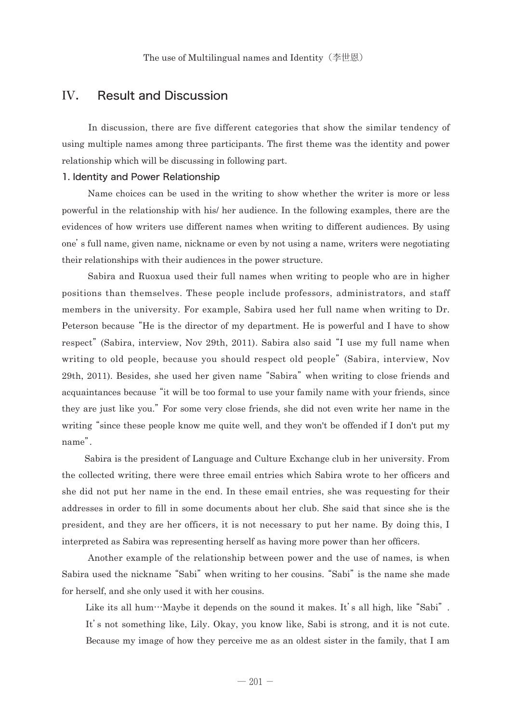# IV. Result and Discussion

 In discussion, there are five different categories that show the similar tendency of using multiple names among three participants. The first theme was the identity and power relationship which will be discussing in following part.

#### 1. Identity and Power Relationship

 Name choices can be used in the writing to show whether the writer is more or less powerful in the relationship with his/ her audience. In the following examples, there are the evidences of how writers use different names when writing to different audiences. By using one's full name, given name, nickname or even by not using a name, writers were negotiating their relationships with their audiences in the power structure.

 Sabira and Ruoxua used their full names when writing to people who are in higher positions than themselves. These people include professors, administrators, and staff members in the university. For example, Sabira used her full name when writing to Dr. Peterson because "He is the director of my department. He is powerful and I have to show respect" (Sabira, interview, Nov 29th, 2011). Sabira also said "I use my full name when writing to old people, because you should respect old people" (Sabira, interview, Nov 29th, 2011). Besides, she used her given name "Sabira" when writing to close friends and acquaintances because "it will be too formal to use your family name with your friends, since they are just like you." For some very close friends, she did not even write her name in the writing "since these people know me quite well, and they won't be offended if I don't put my name".

 Sabira is the president of Language and Culture Exchange club in her university. From the collected writing, there were three email entries which Sabira wrote to her officers and she did not put her name in the end. In these email entries, she was requesting for their addresses in order to fill in some documents about her club. She said that since she is the president, and they are her officers, it is not necessary to put her name. By doing this, I interpreted as Sabira was representing herself as having more power than her officers.

 Another example of the relationship between power and the use of names, is when Sabira used the nickname "Sabi" when writing to her cousins. "Sabi" is the name she made for herself, and she only used it with her cousins.

Like its all hum…Maybe it depends on the sound it makes. It's all high, like "Sabi". It's not something like, Lily. Okay, you know like, Sabi is strong, and it is not cute. Because my image of how they perceive me as an oldest sister in the family, that I am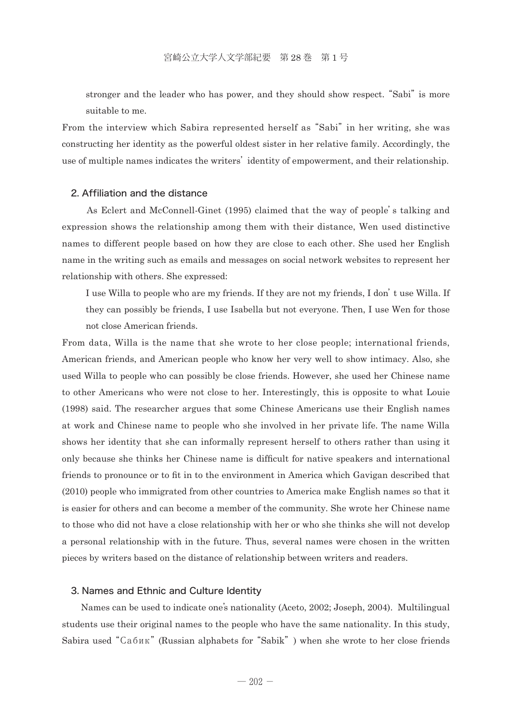stronger and the leader who has power, and they should show respect. "Sabi" is more suitable to me.

From the interview which Sabira represented herself as "Sabi" in her writing, she was constructing her identity as the powerful oldest sister in her relative family. Accordingly, the use of multiple names indicates the writers' identity of empowerment, and their relationship.

## 2. Affiliation and the distance

 As Eclert and McConnell-Ginet (1995) claimed that the way of people's talking and expression shows the relationship among them with their distance, Wen used distinctive names to different people based on how they are close to each other. She used her English name in the writing such as emails and messages on social network websites to represent her relationship with others. She expressed:

 I use Willa to people who are my friends. If they are not my friends, I don't use Willa. If they can possibly be friends, I use Isabella but not everyone. Then, I use Wen for those not close American friends.

From data, Willa is the name that she wrote to her close people; international friends, American friends, and American people who know her very well to show intimacy. Also, she used Willa to people who can possibly be close friends. However, she used her Chinese name to other Americans who were not close to her. Interestingly, this is opposite to what Louie (1998) said. The researcher argues that some Chinese Americans use their English names at work and Chinese name to people who she involved in her private life. The name Willa shows her identity that she can informally represent herself to others rather than using it only because she thinks her Chinese name is difficult for native speakers and international friends to pronounce or to fit in to the environment in America which Gavigan described that (2010) people who immigrated from other countries to America make English names so that it is easier for others and can become a member of the community. She wrote her Chinese name to those who did not have a close relationship with her or who she thinks she will not develop a personal relationship with in the future. Thus, several names were chosen in the written pieces by writers based on the distance of relationship between writers and readers.

#### 3. Names and Ethnic and Culture Identity

 Names can be used to indicate one's nationality (Aceto, 2002; Joseph, 2004). Multilingual students use their original names to the people who have the same nationality. In this study, Sabira used "Сабик" (Russian alphabets for "Sabik") when she wrote to her close friends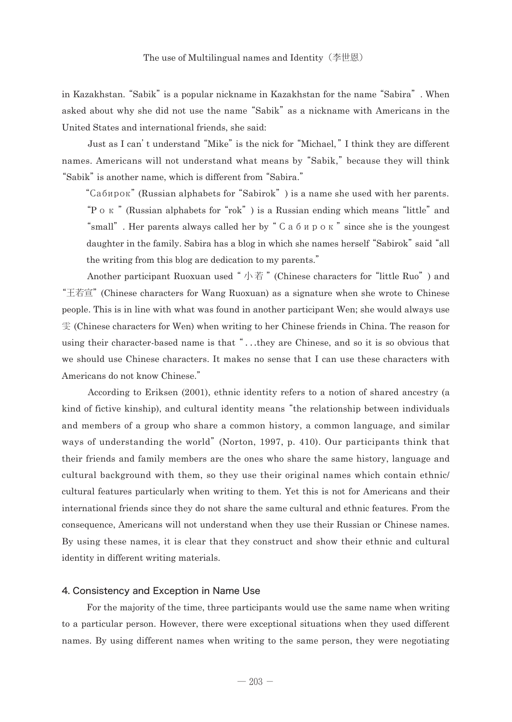in Kazakhstan. "Sabik" is a popular nickname in Kazakhstan for the name "Sabira". When asked about why she did not use the name "Sabik" as a nickname with Americans in the United States and international friends, she said:

 Just as I can't understand "Mike" is the nick for "Michael, "I think they are different names. Americans will not understand what means by "Sabik, " because they will think "Sabik" is another name, which is different from "Sabira."

 "Сабирок" (Russian alphabets for "Sabirok") is a name she used with her parents. "Pок " (Russian alphabets for "rok") is a Russian ending which means "little" and "small". Her parents always called her by "Сабирок" since she is the youngest daughter in the family. Sabira has a blog in which she names herself "Sabirok" said "all the writing from this blog are dedication to my parents."

Another participant Ruoxuan used "小若" (Chinese characters for "little Ruo") and "王若宣" (Chinese characters for Wang Ruoxuan) as a signature when she wrote to Chinese people. This is in line with what was found in another participant Wen; she would always use 雯 (Chinese characters for Wen) when writing to her Chinese friends in China. The reason for using their character-based name is that "...they are Chinese, and so it is so obvious that we should use Chinese characters. It makes no sense that I can use these characters with Americans do not know Chinese."

 According to Eriksen (2001), ethnic identity refers to a notion of shared ancestry (a kind of fictive kinship), and cultural identity means "the relationship between individuals and members of a group who share a common history, a common language, and similar ways of understanding the world" (Norton, 1997, p. 410). Our participants think that their friends and family members are the ones who share the same history, language and cultural background with them, so they use their original names which contain ethnic/ cultural features particularly when writing to them. Yet this is not for Americans and their international friends since they do not share the same cultural and ethnic features. From the consequence, Americans will not understand when they use their Russian or Chinese names. By using these names, it is clear that they construct and show their ethnic and cultural identity in different writing materials.

#### 4. Consistency and Exception in Name Use

 For the majority of the time, three participants would use the same name when writing to a particular person. However, there were exceptional situations when they used different names. By using different names when writing to the same person, they were negotiating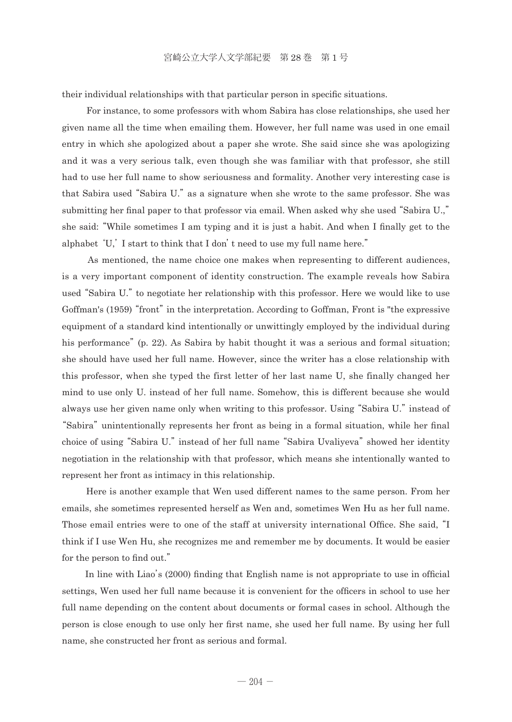their individual relationships with that particular person in specific situations.

 For instance, to some professors with whom Sabira has close relationships, she used her given name all the time when emailing them. However, her full name was used in one email entry in which she apologized about a paper she wrote. She said since she was apologizing and it was a very serious talk, even though she was familiar with that professor, she still had to use her full name to show seriousness and formality. Another very interesting case is that Sabira used "Sabira U." as a signature when she wrote to the same professor. She was submitting her final paper to that professor via email. When asked why she used "Sabira U.," she said: "While sometimes I am typing and it is just a habit. And when I finally get to the alphabet 'U,' I start to think that I don't need to use my full name here."

 As mentioned, the name choice one makes when representing to different audiences, is a very important component of identity construction. The example reveals how Sabira used "Sabira U." to negotiate her relationship with this professor. Here we would like to use Goffman's (1959) "front" in the interpretation. According to Goffman, Front is "the expressive equipment of a standard kind intentionally or unwittingly employed by the individual during his performance" (p. 22). As Sabira by habit thought it was a serious and formal situation; she should have used her full name. However, since the writer has a close relationship with this professor, when she typed the first letter of her last name U, she finally changed her mind to use only U. instead of her full name. Somehow, this is different because she would always use her given name only when writing to this professor. Using "Sabira U." instead of "Sabira" unintentionally represents her front as being in a formal situation, while her final choice of using "Sabira U." instead of her full name "Sabira Uvaliyeva" showed her identity negotiation in the relationship with that professor, which means she intentionally wanted to represent her front as intimacy in this relationship.

 Here is another example that Wen used different names to the same person. From her emails, she sometimes represented herself as Wen and, sometimes Wen Hu as her full name. Those email entries were to one of the staff at university international Office. She said, "I think if I use Wen Hu, she recognizes me and remember me by documents. It would be easier for the person to find out."

 In line with Liao's (2000) finding that English name is not appropriate to use in official settings, Wen used her full name because it is convenient for the officers in school to use her full name depending on the content about documents or formal cases in school. Although the person is close enough to use only her first name, she used her full name. By using her full name, she constructed her front as serious and formal.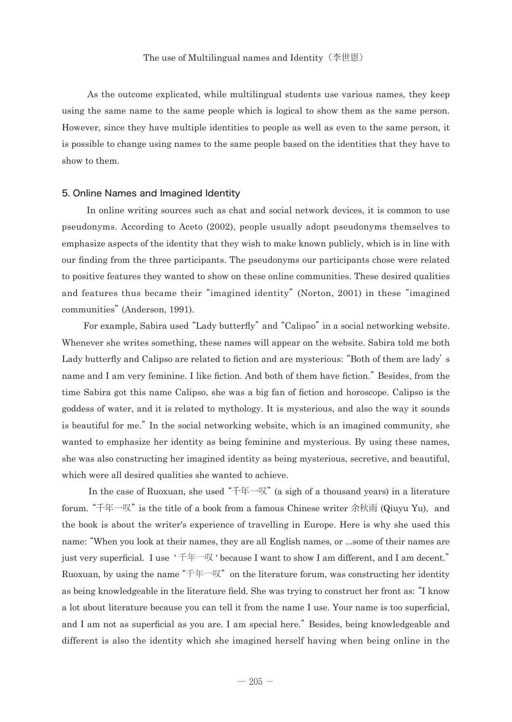As the outcome explicated, while multilingual students use various names, they keep using the same name to the same people which is logical to show them as the same person. However, since they have multiple identities to people as well as even to the same person, it is possible to change using names to the same people based on the identities that they have to show to them.

## 5. Online Names and Imagined Identity

 In online writing sources such as chat and social network devices, it is common to use pseudonyms. According to Aceto (2002), people usually adopt pseudonyms themselves to emphasize aspects of the identity that they wish to make known publicly, which is in line with our finding from the three participants. The pseudonyms our participants chose were related to positive features they wanted to show on these online communities. These desired qualities and features thus became their "imagined identity" (Norton, 2001) in these "imagined communities" (Anderson, 1991).

 For example, Sabira used "Lady butterfly" and "Calipso" in a social networking website. Whenever she writes something, these names will appear on the website. Sabira told me both Lady butterfly and Calipso are related to fiction and are mysterious: "Both of them are lady's name and I am very feminine. I like fiction. And both of them have fiction." Besides, from the time Sabira got this name Calipso, she was a big fan of fiction and horoscope. Calipso is the goddess of water, and it is related to mythology. It is mysterious, and also the way it sounds is beautiful for me." In the social networking website, which is an imagined community, she wanted to emphasize her identity as being feminine and mysterious. By using these names, she was also constructing her imagined identity as being mysterious, secretive, and beautiful, which were all desired qualities she wanted to achieve.

In the case of Ruoxuan, she used " $f^{\pm}$ . (a sigh of a thousand years) in a literature forum. "千年一叹" is the title of a book from a famous Chinese writer 余秋雨 (Qiuyu Yu), and the book is about the writer's experience of travelling in Europe. Here is why she used this name: "When you look at their names, they are all English names, or ...some of their names are just very superficial. I use ' 千年一叹 ' because I want to show I am different, and I am decent." Ruoxuan, by using the name " $\pm \equiv \mathbb{R}^n$ " on the literature forum, was constructing her identity as being knowledgeable in the literature field. She was trying to construct her front as: "I know a lot about literature because you can tell it from the name I use. Your name is too superficial, and I am not as superficial as you are. I am special here." Besides, being knowledgeable and different is also the identity which she imagined herself having when being online in the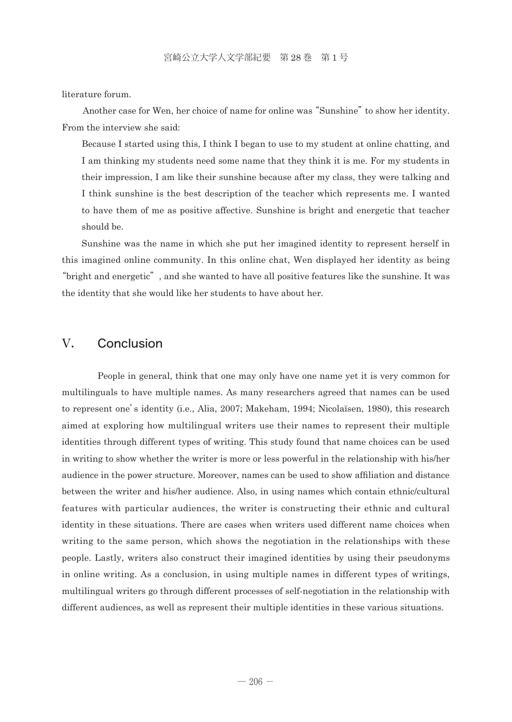literature forum.

 Another case for Wen, her choice of name for online was "Sunshine" to show her identity. From the interview she said:

 Because I started using this, I think I began to use to my student at online chatting, and I am thinking my students need some name that they think it is me. For my students in their impression, I am like their sunshine because after my class, they were talking and I think sunshine is the best description of the teacher which represents me. I wanted to have them of me as positive affective. Sunshine is bright and energetic that teacher should be.

 Sunshine was the name in which she put her imagined identity to represent herself in this imagined online community. In this online chat, Wen displayed her identity as being "bright and energetic", and she wanted to have all positive features like the sunshine. It was the identity that she would like her students to have about her.

# V. Conclusion

 People in general, think that one may only have one name yet it is very common for multilinguals to have multiple names. As many researchers agreed that names can be used to represent one's identity (i.e., Alia, 2007; Makeham, 1994; Nicolaïsen, 1980), this research aimed at exploring how multilingual writers use their names to represent their multiple identities through different types of writing. This study found that name choices can be used in writing to show whether the writer is more or less powerful in the relationship with his/her audience in the power structure. Moreover, names can be used to show affiliation and distance between the writer and his/her audience. Also, in using names which contain ethnic/cultural features with particular audiences, the writer is constructing their ethnic and cultural identity in these situations. There are cases when writers used different name choices when writing to the same person, which shows the negotiation in the relationships with these people. Lastly, writers also construct their imagined identities by using their pseudonyms in online writing. As a conclusion, in using multiple names in different types of writings, multilingual writers go through different processes of self-negotiation in the relationship with different audiences, as well as represent their multiple identities in these various situations.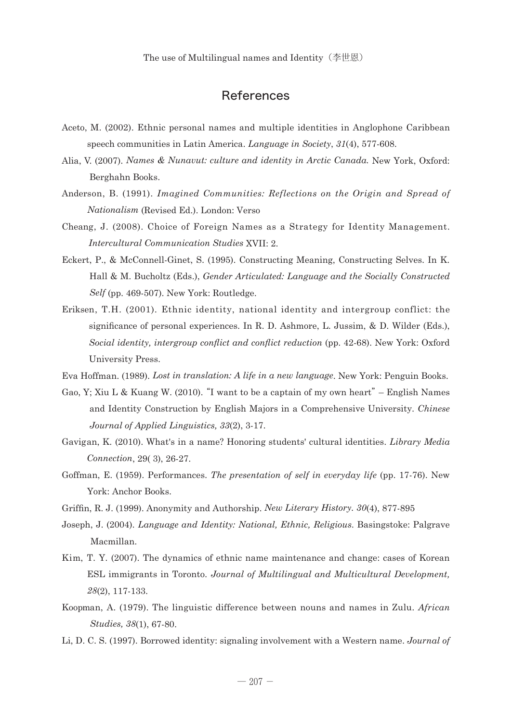The use of Multilingual names and Identity(李世恩)

# References

- Aceto, M. (2002). Ethnic personal names and multiple identities in Anglophone Caribbean speech communities in Latin America. *Language in Society*, *31*(4), 577-608.
- Alia, V. (2007). *Names & Nunavut: culture and identity in Arctic Canada*. New York, Oxford: Berghahn Books.
- Ander son, B. (1991). *Imagined Communities: Reflections on the Origin and Spread of Nationalism* (Revised Ed.). London: Verso
- Cheang, J. (2008). Choice of Foreign Names as a Strategy for Identity Management. *Intercultural Communication Studies* XVII: 2.
- Eckert, P., & McConnell-Ginet, S. (1995). Constructing Meaning, Constructing Selves. In K. Hall & M. Bucholtz (Eds.), *Gender Articulated: Language and the Socially Constructed Self* (pp. 469-507). New York: Routledge.
- Eriksen, T.H.  $(2001)$ . Ethnic identity, national identity and intergroup conflict: the significance of personal experiences. In R. D. Ashmore, L. Jussim, & D. Wilder (Eds.), *Social identity, intergroup conflict and conflict reduction* (pp. 42-68). New York: Oxford University Press.

Eva Hoffman. (1989). *Lost in translation: A life in a new language*. New York: Penguin Books.

- Gao, Y; Xiu L & Kuang W. (2010). "I want to be a captain of my own heart" English Names and Identity Construction by English Majors in a Comprehensive University. *Chinese Journal of Applied Linguistics, 33*(2), 3-17.
- Gavig an, K. (2010). What's in a name? Honoring students' cultural identities. *Library Media Connection*, 29( 3), 26-27.
- Goffman, E. (1959). Performances. *The presentation of self in everyday life* (pp. 17-76). New York: Anchor Books.
- Griffin, R. J. (1999). Anonymity and Authorship. *New Literary History. 30*(4), 877-895
- Joseph , J. (2004). *Language and Identity: National, Ethnic, Religious*. Basingstoke: Palgrave Macmillan.
- Kim, T. Y. (2007). The dynamics of ethnic name maintenance and change: cases of Korean ESL immigrants in Toronto. *Journal of Multilingual and Multicultural Development, 28*(2), 117-133.
- Koopman, A. (1979). The linguistic difference between nouns and names in Zulu. *African Studies, 38*(1), 67-80.
- Li, D. C. S. (1997). Borrowed identity: signaling involvement with a Western name. *Journal of*